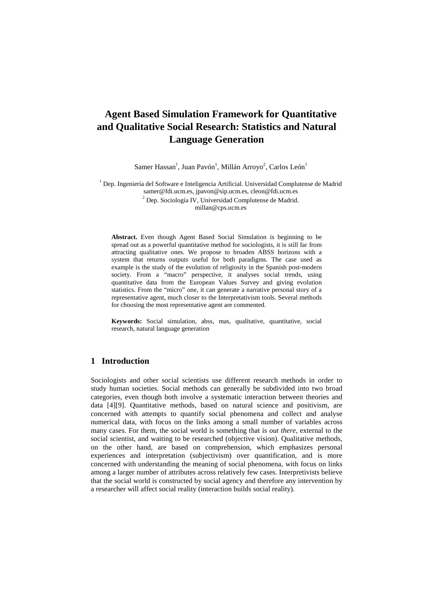# **Agent Based Simulation Framework for Quantitative and Qualitative Social Research: Statistics and Natural Language Generation**

Samer Hassan<sup>1</sup>, Juan Pavón<sup>1</sup>, Millán Arroyo<sup>2</sup>, Carlos León<sup>1</sup>

<sup>1</sup> Dep. Ingeniería del Software e Inteligencia Artificial. Universidad Complutense de Madrid samer@fdi.ucm.es, jpavon@sip.ucm.es, cleon@fdi.ucm.es <sup>2</sup> Dep. Sociología IV, Universidad Complutense de Madrid. millan@cps.ucm.es

**Abstract.** Even though Agent Based Social Simulation is beginning to be spread out as a powerful quantitative method for sociologists, it is still far from attracting qualitative ones. We propose to broaden ABSS horizons with a system that returns outputs useful for both paradigms. The case used as example is the study of the evolution of religiosity in the Spanish post-modern society. From a "macro" perspective, it analyses social trends, using quantitative data from the European Values Survey and giving evolution statistics. From the "micro" one, it can generate a narrative personal story of a representative agent, much closer to the Interpretativism tools. Several methods for choosing the most representative agent are commented.

**Keywords:** Social simulation, abss, mas, qualitative, quantitative, social research, natural language generation

### **1 Introduction**

Sociologists and other social scientists use different research methods in order to study human societies. Social methods can generally be subdivided into two broad categories, even though both involve a systematic interaction between theories and data [4][9]. Quantitative methods, based on natural science and positivism, are concerned with attempts to quantify social phenomena and collect and analyse numerical data, with focus on the links among a small number of variables across many cases. For them, the social world is something that is *out there*, external to the social scientist, and waiting to be researched (objective vision). Qualitative methods, on the other hand, are based on comprehension, which emphasizes personal experiences and interpretation (subjectivism) over quantification, and is more concerned with understanding the meaning of social phenomena, with focus on links among a larger number of attributes across relatively few cases. Interpretivists believe that the social world is constructed by social agency and therefore any intervention by a researcher will affect social reality (interaction builds social reality).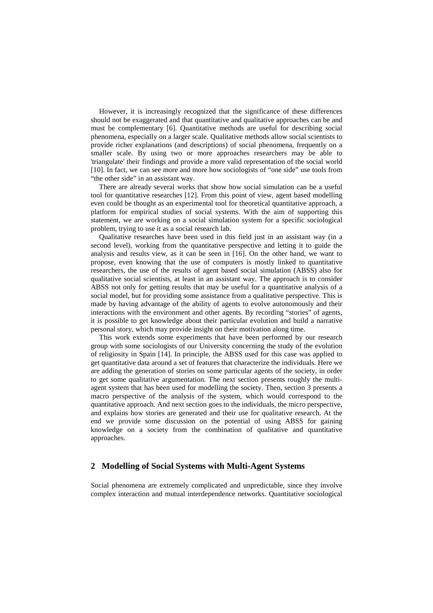However, it is increasingly recognized that the significance of these differences should not be exaggerated and that quantitative and qualitative approaches can be and must be complementary [6]. Quantitative methods are useful for describing social phenomena, especially on a larger scale. Qualitative methods allow social scientists to provide richer explanations (and descriptions) of social phenomena, frequently on a smaller scale. By using two or more approaches researchers may be able to 'triangulate' their findings and provide a more valid representation of the social world [10]. In fact, we can see more and more how sociologists of "one side" use tools from "the other side" in an assistant way.

There are already several works that show how social simulation can be a useful tool for quantitative researches [12]. From this point of view, agent based modelling even could be thought as an experimental tool for theoretical quantitative approach, a platform for empirical studies of social systems. With the aim of supporting this statement, we are working on a social simulation system for a specific sociological problem, trying to use it as a social research lab.

Qualitative researches have been used in this field just in an assistant way (in a second level), working from the quantitative perspective and letting it to guide the analysis and results view, as it can be seen in [16]. On the other hand, we want to propose, even knowing that the use of computers is mostly linked to quantitative researchers, the use of the results of agent based social simulation (ABSS) also for qualitative social scientists, at least in an assistant way. The approach is to consider ABSS not only for getting results that may be useful for a quantitative analysis of a social model, but for providing some assistance from a qualitative perspective. This is made by having advantage of the ability of agents to evolve autonomously and their interactions with the environment and other agents. By recording "stories" of agents, it is possible to get knowledge about their particular evolution and build a narrative personal story, which may provide insight on their motivation along time.

This work extends some experiments that have been performed by our research group with some sociologists of our University concerning the study of the evolution of religiosity in Spain [14]. In principle, the ABSS used for this case was applied to get quantitative data around a set of features that characterize the individuals. Here we are adding the generation of stories on some particular agents of the society, in order to get some qualitative argumentation. The next section presents roughly the multiagent system that has been used for modelling the society. Then, section 3 presents a macro perspective of the analysis of the system, which would correspond to the quantitative approach. And next section goes to the individuals, the micro perspective, and explains how stories are generated and their use for qualitative research. At the end we provide some discussion on the potential of using ABSS for gaining knowledge on a society from the combination of qualitative and quantitative approaches.

## **2 Modelling of Social Systems with Multi-Agent Systems**

Social phenomena are extremely complicated and unpredictable, since they involve complex interaction and mutual interdependence networks. Quantitative sociological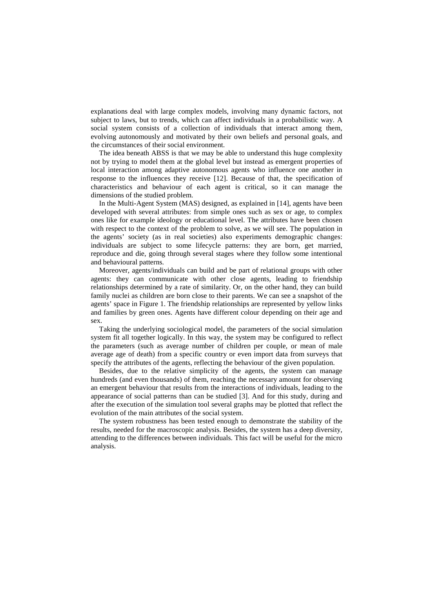explanations deal with large complex models, involving many dynamic factors, not subject to laws, but to trends, which can affect individuals in a probabilistic way. A social system consists of a collection of individuals that interact among them, evolving autonomously and motivated by their own beliefs and personal goals, and the circumstances of their social environment.

The idea beneath ABSS is that we may be able to understand this huge complexity not by trying to model them at the global level but instead as emergent properties of local interaction among adaptive autonomous agents who influence one another in response to the influences they receive [12]. Because of that, the specification of characteristics and behaviour of each agent is critical, so it can manage the dimensions of the studied problem.

In the Multi-Agent System (MAS) designed, as explained in [14], agents have been developed with several attributes: from simple ones such as sex or age, to complex ones like for example ideology or educational level. The attributes have been chosen with respect to the context of the problem to solve, as we will see. The population in the agents' society (as in real societies) also experiments demographic changes: individuals are subject to some lifecycle patterns: they are born, get married, reproduce and die, going through several stages where they follow some intentional and behavioural patterns.

Moreover, agents/individuals can build and be part of relational groups with other agents: they can communicate with other close agents, leading to friendship relationships determined by a rate of similarity. Or, on the other hand, they can build family nuclei as children are born close to their parents. We can see a snapshot of the agents' space in Figure 1. The friendship relationships are represented by yellow links and families by green ones. Agents have different colour depending on their age and sex.

Taking the underlying sociological model, the parameters of the social simulation system fit all together logically. In this way, the system may be configured to reflect the parameters (such as average number of children per couple, or mean of male average age of death) from a specific country or even import data from surveys that specify the attributes of the agents, reflecting the behaviour of the given population.

Besides, due to the relative simplicity of the agents, the system can manage hundreds (and even thousands) of them, reaching the necessary amount for observing an emergent behaviour that results from the interactions of individuals, leading to the appearance of social patterns than can be studied [3]. And for this study, during and after the execution of the simulation tool several graphs may be plotted that reflect the evolution of the main attributes of the social system.

The system robustness has been tested enough to demonstrate the stability of the results, needed for the macroscopic analysis. Besides, the system has a deep diversity, attending to the differences between individuals. This fact will be useful for the micro analysis.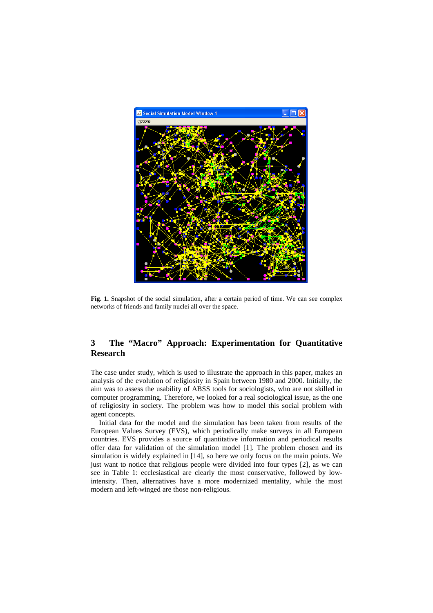

**Fig. 1.** Snapshot of the social simulation, after a certain period of time. We can see complex networks of friends and family nuclei all over the space.

# **3 The "Macro" Approach: Experimentation for Quantitative Research**

The case under study, which is used to illustrate the approach in this paper, makes an analysis of the evolution of religiosity in Spain between 1980 and 2000. Initially, the aim was to assess the usability of ABSS tools for sociologists, who are not skilled in computer programming. Therefore, we looked for a real sociological issue, as the one of religiosity in society. The problem was how to model this social problem with agent concepts.

Initial data for the model and the simulation has been taken from results of the European Values Survey (EVS), which periodically make surveys in all European countries. EVS provides a source of quantitative information and periodical results offer data for validation of the simulation model [1]. The problem chosen and its simulation is widely explained in [14], so here we only focus on the main points. We just want to notice that religious people were divided into four types [2], as we can see in Table 1: ecclesiastical are clearly the most conservative, followed by lowintensity. Then, alternatives have a more modernized mentality, while the most modern and left-winged are those non-religious.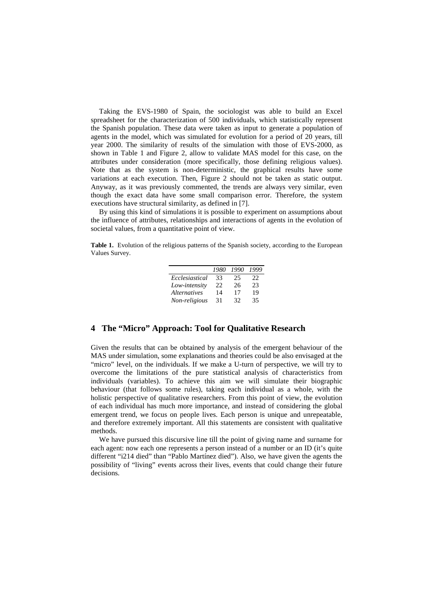Taking the EVS-1980 of Spain, the sociologist was able to build an Excel spreadsheet for the characterization of 500 individuals, which statistically represent the Spanish population. These data were taken as input to generate a population of agents in the model, which was simulated for evolution for a period of 20 years, till year 2000. The similarity of results of the simulation with those of EVS-2000, as shown in Table 1 and Figure 2, allow to validate MAS model for this case, on the attributes under consideration (more specifically, those defining religious values). Note that as the system is non-deterministic, the graphical results have some variations at each execution. Then, Figure 2 should not be taken as static output. Anyway, as it was previously commented, the trends are always very similar, even though the exact data have some small comparison error. Therefore, the system executions have structural similarity, as defined in [7].

By using this kind of simulations it is possible to experiment on assumptions about the influence of attributes, relationships and interactions of agents in the evolution of societal values, from a quantitative point of view.

**Table 1.** Evolution of the religious patterns of the Spanish society, according to the European Values Survey.

|                     | 1980 | 1990 | 1999 |
|---------------------|------|------|------|
| Ecclesiastical      | 33   | 25   | 22   |
| Low-intensity       | 22   | 26   | 23   |
| <i>Alternatives</i> | 14   | 17   | 19   |
| Non-religious       | 31   | 32   | 35   |

#### **4 The "Micro" Approach: Tool for Qualitative Research**

Given the results that can be obtained by analysis of the emergent behaviour of the MAS under simulation, some explanations and theories could be also envisaged at the "micro" level, on the individuals. If we make a U-turn of perspective, we will try to overcome the limitations of the pure statistical analysis of characteristics from individuals (variables). To achieve this aim we will simulate their biographic behaviour (that follows some rules), taking each individual as a whole, with the holistic perspective of qualitative researchers. From this point of view, the evolution of each individual has much more importance, and instead of considering the global emergent trend, we focus on people lives. Each person is unique and unrepeatable, and therefore extremely important. All this statements are consistent with qualitative methods.

We have pursued this discursive line till the point of giving name and surname for each agent: now each one represents a person instead of a number or an ID (it's quite different "i214 died" than "Pablo Martínez died"). Also, we have given the agents the possibility of "living" events across their lives, events that could change their future decisions.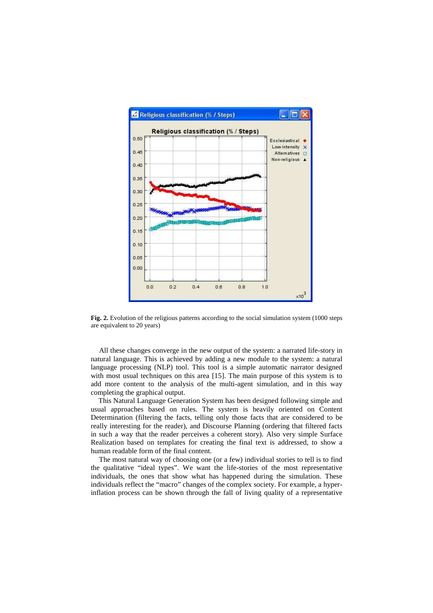

**Fig. 2.** Evolution of the religious patterns according to the social simulation system (1000 steps are equivalent to 20 years)

All these changes converge in the new output of the system: a narrated life-story in natural language. This is achieved by adding a new module to the system: a natural language processing (NLP) tool. This tool is a simple automatic narrator designed with most usual techniques on this area [15]. The main purpose of this system is to add more content to the analysis of the multi-agent simulation, and in this way completing the graphical output.

This Natural Language Generation System has been designed following simple and usual approaches based on rules. The system is heavily oriented on Content Determination (filtering the facts, telling only those facts that are considered to be really interesting for the reader), and Discourse Planning (ordering that filtered facts in such a way that the reader perceives a coherent story). Also very simple Surface Realization based on templates for creating the final text is addressed, to show a human readable form of the final content.

The most natural way of choosing one (or a few) individual stories to tell is to find the qualitative "ideal types". We want the life-stories of the most representative individuals, the ones that show what has happened during the simulation. These individuals reflect the "macro" changes of the complex society. For example, a hyperinflation process can be shown through the fall of living quality of a representative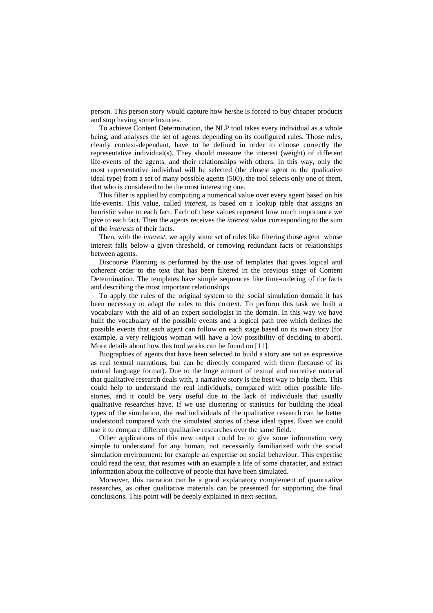person. This person story would capture how he/she is forced to buy cheaper products and stop having some luxuries.

To achieve Content Determination, the NLP tool takes every individual as a whole being, and analyses the set of agents depending on its configured rules. Those rules, clearly context-dependant, have to be defined in order to choose correctly the representative individual(s). They should measure the interest (weight) of different life-events of the agents, and their relationships with others. In this way, only the most representative individual will be selected (the closest agent to the qualitative ideal type) from a set of many possible agents (500), the tool selects only one of them, that who is considered to be the most interesting one.

This filter is applied by computing a numerical value over every agent based on his life-events. This value, called *interest*, is based on a lookup table that assigns an heuristic value to each fact. Each of these values represent how much importance we give to each fact. Then the agents receives the *interest* value corresponding to the sum of the *interests* of their facts.

Then, with the *interest*, we apply some set of rules like filtering those agent whose interest falls below a given threshold, or removing redundant facts or relationships between agents.

Discourse Planning is performed by the use of templates that gives logical and coherent order to the text that has been filtered in the previous stage of Content Determination. The templates have simple sequences like time-ordering of the facts and describing the most important relationships.

To apply the rules of the original system to the social simulation domain it has been necessary to adapt the rules to this context. To perform this task we built a vocabulary with the aid of an expert sociologist in the domain. In this way we have built the vocabulary of the possible events and a logical path tree which defines the possible events that each agent can follow on each stage based on its own story (for example, a very religious woman will have a low possibility of deciding to abort). More details about how this tool works can be found on [11].

Biographies of agents that have been selected to build a story are not as expressive as real textual narrations, but can be directly compared with them (because of its natural language format). Due to the huge amount of textual and narrative material that qualitative research deals with, a narrative story is the best way to help them. This could help to understand the real individuals, compared with other possible lifestories, and it could be very useful due to the lack of individuals that usually qualitative researches have. If we use clustering or statistics for building the ideal types of the simulation, the real individuals of the qualitative research can be better understood compared with the simulated stories of these ideal types. Even we could use it to compare different qualitative researches over the same field.

Other applications of this new output could be to give some information very simple to understand for any human, not necessarily familiarized with the social simulation environment: for example an expertise on social behaviour. This expertise could read the text, that resumes with an example a life of some character, and extract information about the collective of people that have been simulated.

Moreover, this narration can be a good explanatory complement of quantitative researches, as other qualitative materials can be presented for supporting the final conclusions. This point will be deeply explained in next section.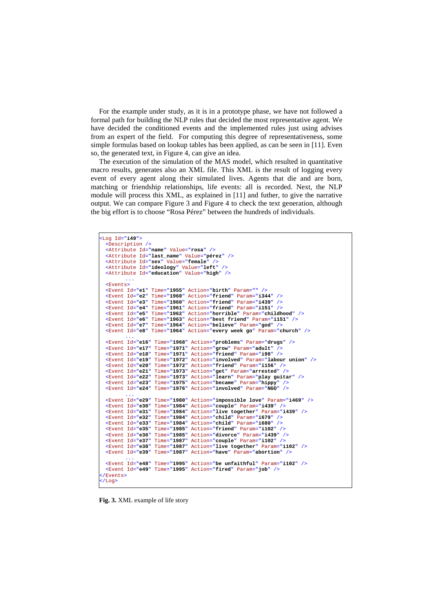For the example under study, as it is in a prototype phase, we have not followed a formal path for building the NLP rules that decided the most representative agent. We have decided the conditioned events and the implemented rules just using advises from an expert of the field. For computing this degree of representativeness, some simple formulas based on lookup tables has been applied, as can be seen in [11]. Even so, the generated text, in Figure 4, can give an idea.

The execution of the simulation of the MAS model, which resulted in quantitative macro results, generates also an XML file. This XML is the result of logging every event of every agent along their simulated lives. Agents that die and are born, matching or friendship relationships, life events: all is recorded. Next, the NLP module will process this XML, as explained in [11] and futher, to give the narrative output. We can compare Figure 3 and Figure 4 to check the text generation, although the big effort is to choose "Rosa Pérez" between the hundreds of individuals.

```
<Log Id="i49"> 
  <Description /> 
  <Attribute Id="name" Value="rosa" /> 
  <Attribute Id="last_name" Value="pérez" /> 
   \leqAttribute Id="sex"
  <Attribute Id="ideology" Value="left" /> 
  <Attribute Id="education" Value="high" /> 
 ... 
   <Events> 
  <Event Id="e1" Time="1955" Action="birth" Param="" /> 
   <Event Id="e2" Time="1960" Action="friend" Param="i344" /> 
<Event Id="e3" Time="1960" Action="friend" Param="i439" /> 
   <Event Id="e4" Time="1961" Action="friend" Param="i151" /> 
<Event Id="e5" Time="1962" Action="horrible" Param="childhood" /> 
   Extent Id="e6" Time="1963" Action="best friend" Param="i151" /><br>Extent Id="e7" Time="1964" Action="believe" Param="god" /><br>Extent Id="e8" Time="1964" Action="every week go" Param="church" />
 ... 
<Event Id="e16" Time="1968" Action="problems" Param="drugs" /> 
   % - Svent Id="e17" Time="1971" Action="grow" Param="adult" /><br>% - Svent Id="e18" Time="1971" Action="friend" Param="i98" /><br>% - Svent Id="e19" Time="1972" Action="involved" Param="labour union" />
   <Event Id="e20" Time="1972" Action="friend" Param="i156" /> 
<Event Id="e21" Time="1973" Action="get" Param="arrested" /> 
   <Event Id="e22" Time="1973" Action="learn" Param="play guitar" /> 
<Event Id="e23" Time="1975" Action="became" Param="hippy" /> 
  <Event Id="e24" Time="1976" Action="involved" Param="NGO" /> 
 ... 
  <Event Id="e29" Time="1980" Action="impossible love" Param="i469" /> 
   <Event Id="e30" Time="1984" Action="couple" Param="i439" /> 
<Event Id="e31" Time="1984" Action="live together" Param="i439" /> 
   <Event Id="e32" Time="1984" Action="child" Param="i679" /> 
<Event Id="e33" Time="1984" Action="child" Param="i680" /> 
   <Event Id="e35" Time="1985" Action="friend" Param="i102" /> 
   <Event Id="e36" Time="1985" Action="divorce" Param="i439" /> 
<Event Id="e37" Time="1987" Action="couple" Param="i102" /> 
   <Event Id="e38" Time="1987" Action="live together" Param="i102" /> 
<Event Id="e39" Time="1987" Action="have" Param="abortion" /> 
 ... 
<Event Id="e48" Time="1995" Action="be unfaithful" Param="i102" /> 
  <Event Id="e49" Time="1995" Action="fired" Param="job" /> 
 </Events> 
 </Log>
```
**Fig. 3.** XML example of life story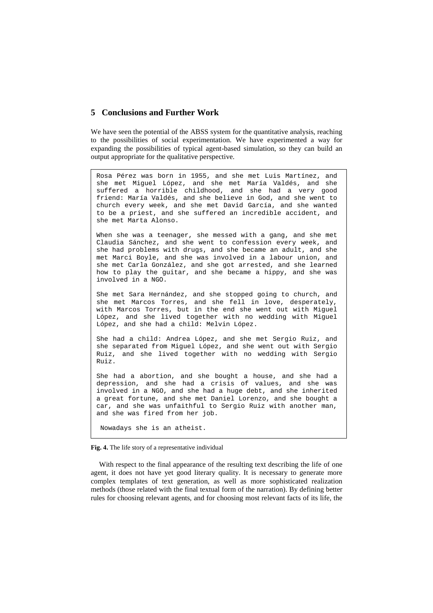## **5 Conclusions and Further Work**

We have seen the potential of the ABSS system for the quantitative analysis, reaching to the possibilities of social experimentation. We have experimented a way for expanding the possibilities of typical agent-based simulation, so they can build an output appropriate for the qualitative perspective.

Rosa Pérez was born in 1955, and she met Luis Martínez, and she met Miguel López, and she met María Valdés, and she suffered a horrible childhood, and she had a very good friend: María Valdés, and she believe in God, and she went to church every week, and she met David García, and she wanted to be a priest, and she suffered an incredible accident, and she met Marta Alonso.

When she was a teenager, she messed with a gang, and she met Claudia Sánchez, and she went to confession every week, and she had problems with drugs, and she became an adult, and she met Marci Boyle, and she was involved in a labour union, and she met Carla González, and she got arrested, and she learned how to play the guitar, and she became a hippy, and she was involved in a NGO.

She met Sara Hernández, and she stopped going to church, and she met Marcos Torres, and she fell in love, desperately, with Marcos Torres, but in the end she went out with Miguel López, and she lived together with no wedding with Miguel López, and she had a child: Melvin López.

She had a child: Andrea López, and she met Sergio Ruiz, and she separated from Miguel López, and she went out with Sergio Ruiz, and she lived together with no wedding with Sergio Ruiz.

She had a abortion, and she bought a house, and she had a depression, and she had a crisis of values, and she was involved in a NGO, and she had a huge debt, and she inherited a great fortune, and she met Daniel Lorenzo, and she bought a car, and she was unfaithful to Sergio Ruiz with another man, and she was fired from her job.

Nowadays she is an atheist.

**Fig. 4.** The life story of a representative individual

With respect to the final appearance of the resulting text describing the life of one agent, it does not have yet good literary quality. It is necessary to generate more complex templates of text generation, as well as more sophisticated realization methods (those related with the final textual form of the narration). By defining better rules for choosing relevant agents, and for choosing most relevant facts of its life, the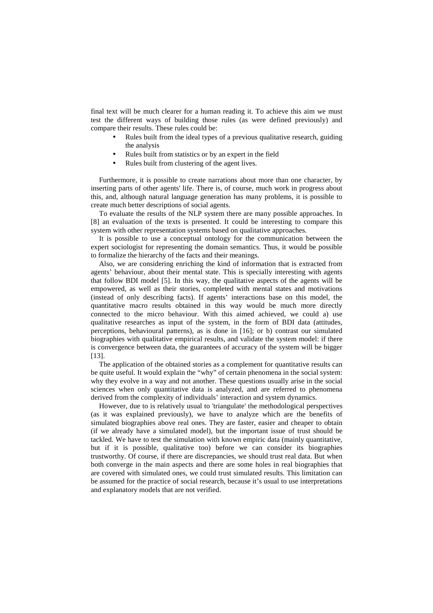final text will be much clearer for a human reading it. To achieve this aim we must test the different ways of building those rules (as were defined previously) and compare their results. These rules could be:

- Rules built from the ideal types of a previous qualitative research, guiding the analysis
- Rules built from statistics or by an expert in the field
- Rules built from clustering of the agent lives.

Furthermore, it is possible to create narrations about more than one character, by inserting parts of other agents' life. There is, of course, much work in progress about this, and, although natural language generation has many problems, it is possible to create much better descriptions of social agents.

To evaluate the results of the NLP system there are many possible approaches. In [8] an evaluation of the texts is presented. It could be interesting to compare this system with other representation systems based on qualitative approaches.

It is possible to use a conceptual ontology for the communication between the expert sociologist for representing the domain semantics. Thus, it would be possible to formalize the hierarchy of the facts and their meanings.

Also, we are considering enriching the kind of information that is extracted from agents' behaviour, about their mental state. This is specially interesting with agents that follow BDI model [5]. In this way, the qualitative aspects of the agents will be empowered, as well as their stories, completed with mental states and motivations (instead of only describing facts). If agents' interactions base on this model, the quantitative macro results obtained in this way would be much more directly connected to the micro behaviour. With this aimed achieved, we could a) use qualitative researches as input of the system, in the form of BDI data (attitudes, perceptions, behavioural patterns), as is done in [16]; or b) contrast our simulated biographies with qualitative empirical results, and validate the system model: if there is convergence between data, the guarantees of accuracy of the system will be bigger [13].

The application of the obtained stories as a complement for quantitative results can be quite useful. It would explain the "why" of certain phenomena in the social system: why they evolve in a way and not another. These questions usually arise in the social sciences when only quantitative data is analyzed, and are referred to phenomena derived from the complexity of individuals' interaction and system dynamics.

However, due to is relatively usual to 'triangulate' the methodological perspectives (as it was explained previously), we have to analyze which are the benefits of simulated biographies above real ones. They are faster, easier and cheaper to obtain (if we already have a simulated model), but the important issue of trust should be tackled. We have to test the simulation with known empiric data (mainly quantitative, but if it is possible, qualitative too) before we can consider its biographies trustworthy. Of course, if there are discrepancies, we should trust real data. But when both converge in the main aspects and there are some holes in real biographies that are covered with simulated ones, we could trust simulated results. This limitation can be assumed for the practice of social research, because it's usual to use interpretations and explanatory models that are not verified.